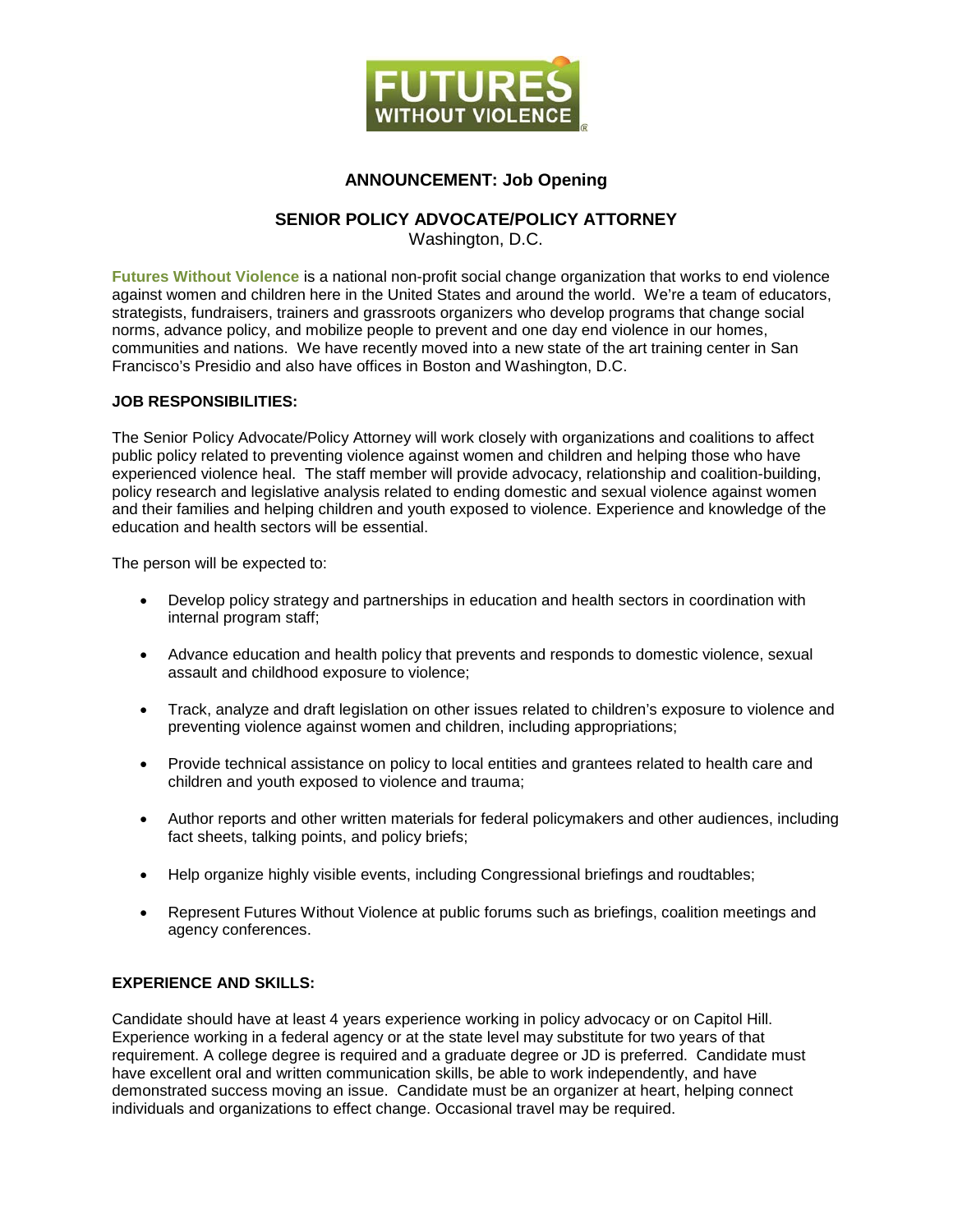

## **ANNOUNCEMENT: Job Opening**

## **SENIOR POLICY ADVOCATE/POLICY ATTORNEY**

Washington, D.C.

**[Futures Without Violence](http://www.futureswithoutviolence.org/)** is a national non-profit social change organization that works to end violence against women and children here in the United States and around the world. We're a team of educators, strategists, fundraisers, trainers and grassroots organizers who develop programs that change social norms, advance policy, and mobilize people to prevent and one day end violence in our homes, communities and nations. We have recently moved into a new state of the art training center in San Francisco's Presidio and also have offices in Boston and Washington, D.C.

## **JOB RESPONSIBILITIES:**

The Senior Policy Advocate/Policy Attorney will work closely with organizations and coalitions to affect public policy related to preventing violence against women and children and helping those who have experienced violence heal. The staff member will provide advocacy, relationship and coalition-building, policy research and legislative analysis related to ending domestic and sexual violence against women and their families and helping children and youth exposed to violence. Experience and knowledge of the education and health sectors will be essential.

The person will be expected to:

- Develop policy strategy and partnerships in education and health sectors in coordination with internal program staff;
- Advance education and health policy that prevents and responds to domestic violence, sexual assault and childhood exposure to violence;
- Track, analyze and draft legislation on other issues related to children's exposure to violence and preventing violence against women and children, including appropriations;
- Provide technical assistance on policy to local entities and grantees related to health care and children and youth exposed to violence and trauma;
- Author reports and other written materials for federal policymakers and other audiences, including fact sheets, talking points, and policy briefs;
- Help organize highly visible events, including Congressional briefings and roudtables;
- Represent Futures Without Violence at public forums such as briefings, coalition meetings and agency conferences.

## **EXPERIENCE AND SKILLS:**

Candidate should have at least 4 years experience working in policy advocacy or on Capitol Hill. Experience working in a federal agency or at the state level may substitute for two years of that requirement. A college degree is required and a graduate degree or JD is preferred. Candidate must have excellent oral and written communication skills, be able to work independently, and have demonstrated success moving an issue. Candidate must be an organizer at heart, helping connect individuals and organizations to effect change. Occasional travel may be required.